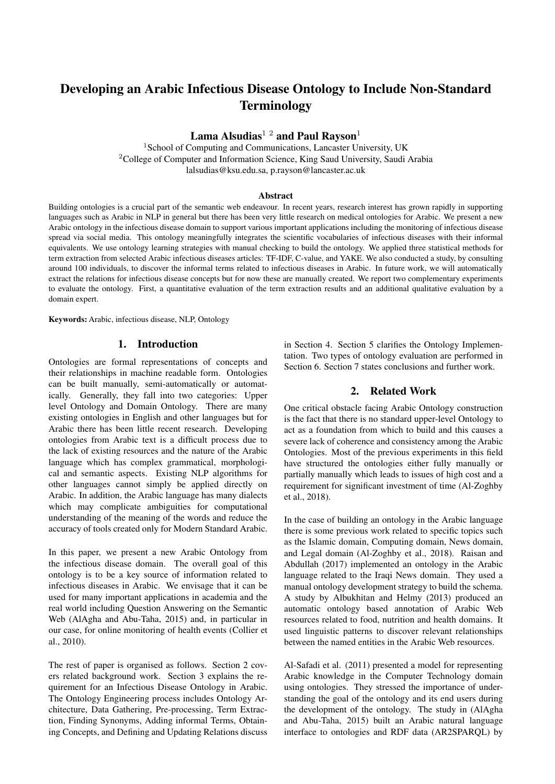# Developing an Arabic Infectious Disease Ontology to Include Non-Standard Terminology

Lama Alsudias<sup>12</sup> and Paul Rayson<sup>1</sup>

<sup>1</sup> School of Computing and Communications, Lancaster University, UK <sup>2</sup>College of Computer and Information Science, King Saud University, Saudi Arabia lalsudias@ksu.edu.sa, p.rayson@lancaster.ac.uk

#### Abstract

Building ontologies is a crucial part of the semantic web endeavour. In recent years, research interest has grown rapidly in supporting languages such as Arabic in NLP in general but there has been very little research on medical ontologies for Arabic. We present a new Arabic ontology in the infectious disease domain to support various important applications including the monitoring of infectious disease spread via social media. This ontology meaningfully integrates the scientific vocabularies of infectious diseases with their informal equivalents. We use ontology learning strategies with manual checking to build the ontology. We applied three statistical methods for term extraction from selected Arabic infectious diseases articles: TF-IDF, C-value, and YAKE. We also conducted a study, by consulting around 100 individuals, to discover the informal terms related to infectious diseases in Arabic. In future work, we will automatically extract the relations for infectious disease concepts but for now these are manually created. We report two complementary experiments to evaluate the ontology. First, a quantitative evaluation of the term extraction results and an additional qualitative evaluation by a domain expert.

Keywords: Arabic, infectious disease, NLP, Ontology

# 1. Introduction

Ontologies are formal representations of concepts and their relationships in machine readable form. Ontologies can be built manually, semi-automatically or automatically. Generally, they fall into two categories: Upper level Ontology and Domain Ontology. There are many existing ontologies in English and other languages but for Arabic there has been little recent research. Developing ontologies from Arabic text is a difficult process due to the lack of existing resources and the nature of the Arabic language which has complex grammatical, morphological and semantic aspects. Existing NLP algorithms for other languages cannot simply be applied directly on Arabic. In addition, the Arabic language has many dialects which may complicate ambiguities for computational understanding of the meaning of the words and reduce the accuracy of tools created only for Modern Standard Arabic.

In this paper, we present a new Arabic Ontology from the infectious disease domain. The overall goal of this ontology is to be a key source of information related to infectious diseases in Arabic. We envisage that it can be used for many important applications in academia and the real world including Question Answering on the Semantic Web (AlAgha and Abu-Taha, 2015) and, in particular in our case, for online monitoring of health events (Collier et al., 2010).

The rest of paper is organised as follows. Section 2 covers related background work. Section 3 explains the requirement for an Infectious Disease Ontology in Arabic. The Ontology Engineering process includes Ontology Architecture, Data Gathering, Pre-processing, Term Extraction, Finding Synonyms, Adding informal Terms, Obtaining Concepts, and Defining and Updating Relations discuss in Section 4. Section 5 clarifies the Ontology Implementation. Two types of ontology evaluation are performed in Section 6. Section 7 states conclusions and further work.

#### 2. Related Work

One critical obstacle facing Arabic Ontology construction is the fact that there is no standard upper-level Ontology to act as a foundation from which to build and this causes a severe lack of coherence and consistency among the Arabic Ontologies. Most of the previous experiments in this field have structured the ontologies either fully manually or partially manually which leads to issues of high cost and a requirement for significant investment of time (Al-Zoghby et al., 2018).

In the case of building an ontology in the Arabic language there is some previous work related to specific topics such as the Islamic domain, Computing domain, News domain, and Legal domain (Al-Zoghby et al., 2018). Raisan and Abdullah (2017) implemented an ontology in the Arabic language related to the Iraqi News domain. They used a manual ontology development strategy to build the schema. A study by Albukhitan and Helmy (2013) produced an automatic ontology based annotation of Arabic Web resources related to food, nutrition and health domains. It used linguistic patterns to discover relevant relationships between the named entities in the Arabic Web resources.

Al-Safadi et al. (2011) presented a model for representing Arabic knowledge in the Computer Technology domain using ontologies. They stressed the importance of understanding the goal of the ontology and its end users during the development of the ontology. The study in (AlAgha and Abu-Taha, 2015) built an Arabic natural language interface to ontologies and RDF data (AR2SPARQL) by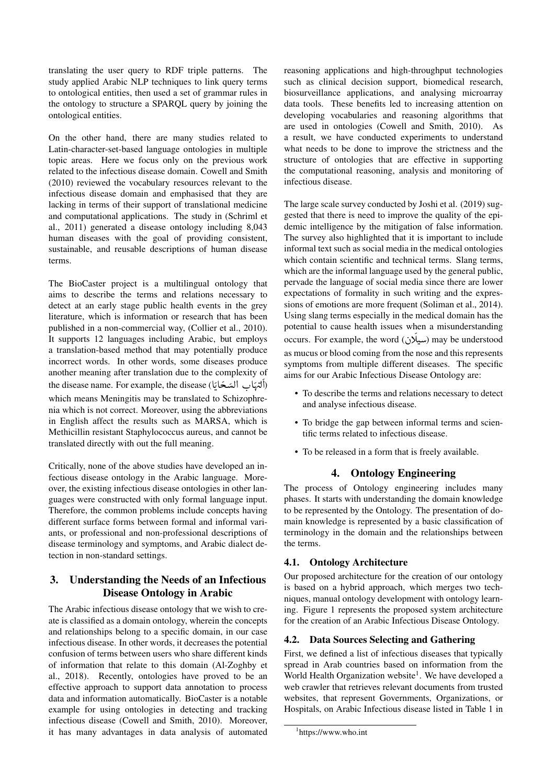translating the user query to RDF triple patterns. The study applied Arabic NLP techniques to link query terms to ontological entities, then used a set of grammar rules in the ontology to structure a SPARQL query by joining the ontological entities.

On the other hand, there are many studies related to Latin-character-set-based language ontologies in multiple topic areas. Here we focus only on the previous work related to the infectious disease domain. Cowell and Smith (2010) reviewed the vocabulary resources relevant to the infectious disease domain and emphasised that they are lacking in terms of their support of translational medicine and computational applications. The study in (Schriml et al., 2011) generated a disease ontology including 8,043 human diseases with the goal of providing consistent, sustainable, and reusable descriptions of human disease terms.

The BioCaster project is a multilingual ontology that aims to describe the terms and relations necessary to detect at an early stage public health events in the grey literature, which is information or research that has been published in a non-commercial way, (Collier et al., 2010). It supports 12 languages including Arabic, but employs a translation-based method that may potentially produce incorrect words. In other words, some diseases produce another meaning after translation due to the complexity of disease name. For example, the disease (أكتهاب المصدق)<br>(أكتهاب السكة) the disease name. For example, the disease (أكتهاب  $\overline{a}$ .<br>ت í .<br>(  $\overline{\phantom{a}}$ .<br>ا y<br>.  $\overline{a}$  $\frac{1}{2}$ which means Meningitis may be translated to Schizophrenia which is not correct. Moreover, using the abbreviations in English affect the results such as MARSA, which is Methicillin resistant Staphylococcus aureus, and cannot be translated directly with out the full meaning.

Critically, none of the above studies have developed an infectious disease ontology in the Arabic language. Moreover, the existing infectious disease ontologies in other languages were constructed with only formal language input. Therefore, the common problems include concepts having different surface forms between formal and informal variants, or professional and non-professional descriptions of disease terminology and symptoms, and Arabic dialect detection in non-standard settings.

# 3. Understanding the Needs of an Infectious Disease Ontology in Arabic

The Arabic infectious disease ontology that we wish to create is classified as a domain ontology, wherein the concepts and relationships belong to a specific domain, in our case infectious disease. In other words, it decreases the potential confusion of terms between users who share different kinds of information that relate to this domain (Al-Zoghby et al., 2018). Recently, ontologies have proved to be an effective approach to support data annotation to process data and information automatically. BioCaster is a notable example for using ontologies in detecting and tracking infectious disease (Cowell and Smith, 2010). Moreover, it has many advantages in data analysis of automated

reasoning applications and high-throughput technologies such as clinical decision support, biomedical research, biosurveillance applications, and analysing microarray data tools. These benefits led to increasing attention on developing vocabularies and reasoning algorithms that are used in ontologies (Cowell and Smith, 2010). As a result, we have conducted experiments to understand what needs to be done to improve the strictness and the structure of ontologies that are effective in supporting the computational reasoning, analysis and monitoring of infectious disease.

The large scale survey conducted by Joshi et al. (2019) suggested that there is need to improve the quality of the epidemic intelligence by the mitigation of false information. The survey also highlighted that it is important to include informal text such as social media in the medical ontologies which contain scientific and technical terms. Slang terms, which are the informal language used by the general public, pervade the language of social media since there are lower expectations of formality in such writing and the expressions of emotions are more frequent (Soliman et al., 2014). Using slang terms especially in the medical domain has the potential to cause health issues when a misunderstanding potential to cause health issues when a misunderstanding<br>occurs. For example, the word (سیلَان) may be understood  $\frac{1}{2}$ .<br>J  $\overline{a}$ as mucus or blood coming from the nose and this represents symptoms from multiple different diseases. The specific aims for our Arabic Infectious Disease Ontology are:

- To describe the terms and relations necessary to detect and analyse infectious disease.
- To bridge the gap between informal terms and scientific terms related to infectious disease.
- To be released in a form that is freely available.

# 4. Ontology Engineering

The process of Ontology engineering includes many phases. It starts with understanding the domain knowledge to be represented by the Ontology. The presentation of domain knowledge is represented by a basic classification of terminology in the domain and the relationships between the terms.

### 4.1. Ontology Architecture

Our proposed architecture for the creation of our ontology is based on a hybrid approach, which merges two techniques, manual ontology development with ontology learning. Figure 1 represents the proposed system architecture for the creation of an Arabic Infectious Disease Ontology.

### 4.2. Data Sources Selecting and Gathering

First, we defined a list of infectious diseases that typically spread in Arab countries based on information from the World Health Organization website<sup>1</sup>. We have developed a web crawler that retrieves relevant documents from trusted websites, that represent Governments, Organizations, or Hospitals, on Arabic Infectious disease listed in Table 1 in

<sup>1</sup> https://www.who.int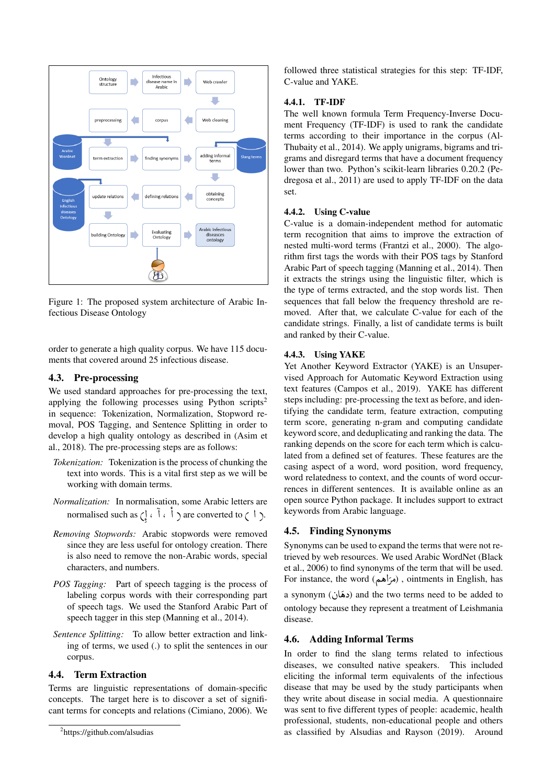

Figure 1: The proposed system architecture of Arabic Infectious Disease Ontology

order to generate a high quality corpus. We have 115 documents that covered around 25 infectious disease.

### 4.3. Pre-processing

We used standard approaches for pre-processing the text, applying the following processes using Python scripts<sup>2</sup> in sequence: Tokenization, Normalization, Stopword removal, POS Tagging, and Sentence Splitting in order to develop a high quality ontology as described in (Asim et al., 2018). The pre-processing steps are as follows:

- *Tokenization:* Tokenization is the process of chunking the text into words. This is a vital first step as we will be working with domain terms.
- *Normalization:* In normalisation, some Arabic letters are normalised such as  $\left(\begin{array}{c} 1 \\ 0 \end{array}\right)$  are converted to (1). ا , )<br>c
- *Removing Stopwords:* Arabic stopwords were removed since they are less useful for ontology creation. There is also need to remove the non-Arabic words, special characters, and numbers.
- *POS Tagging:* Part of speech tagging is the process of labeling corpus words with their corresponding part of speech tags. We used the Stanford Arabic Part of speech tagger in this step (Manning et al., 2014).
- *Sentence Splitting:* To allow better extraction and linking of terms, we used (.) to split the sentences in our corpus.

### 4.4. Term Extraction

Terms are linguistic representations of domain-specific concepts. The target here is to discover a set of significant terms for concepts and relations (Cimiano, 2006). We followed three statistical strategies for this step: TF-IDF, C-value and YAKE.

#### 4.4.1. TF-IDF

The well known formula Term Frequency-Inverse Document Frequency (TF-IDF) is used to rank the candidate terms according to their importance in the corpus (Al-Thubaity et al., 2014). We apply unigrams, bigrams and trigrams and disregard terms that have a document frequency lower than two. Python's scikit-learn libraries 0.20.2 (Pedregosa et al., 2011) are used to apply TF-IDF on the data set.

#### 4.4.2. Using C-value

C-value is a domain-independent method for automatic term recognition that aims to improve the extraction of nested multi-word terms (Frantzi et al., 2000). The algorithm first tags the words with their POS tags by Stanford Arabic Part of speech tagging (Manning et al., 2014). Then it extracts the strings using the linguistic filter, which is the type of terms extracted, and the stop words list. Then sequences that fall below the frequency threshold are removed. After that, we calculate C-value for each of the candidate strings. Finally, a list of candidate terms is built and ranked by their C-value.

#### 4.4.3. Using YAKE

Yet Another Keyword Extractor (YAKE) is an Unsupervised Approach for Automatic Keyword Extraction using text features (Campos et al., 2019). YAKE has different steps including: pre-processing the text as before, and identifying the candidate term, feature extraction, computing term score, generating n-gram and computing candidate keyword score, and deduplicating and ranking the data. The ranking depends on the score for each term which is calculated from a defined set of features. These features are the casing aspect of a word, word position, word frequency, word relatedness to context, and the counts of word occurrences in different sentences. It is available online as an open source Python package. It includes support to extract keywords from Arabic language.

### 4.5. Finding Synonyms

Synonyms can be used to expand the terms that were not retrieved by web resources. We used Arabic WordNet (Black et al., 2006) to find synonyms of the term that will be used. For instance, the word  $(\sim)$  ), ointments in English, has ror instance, the word (مراهعه) , omunems in English, has<br>a synonym (دهَان) and the two terms need to be added to ontology because they represent a treatment of Leishmania disease.

#### 4.6. Adding Informal Terms

In order to find the slang terms related to infectious diseases, we consulted native speakers. This included eliciting the informal term equivalents of the infectious disease that may be used by the study participants when they write about disease in social media. A questionnaire was sent to five different types of people: academic, health professional, students, non-educational people and others as classified by Alsudias and Rayson (2019). Around

<sup>2</sup> https://github.com/alsudias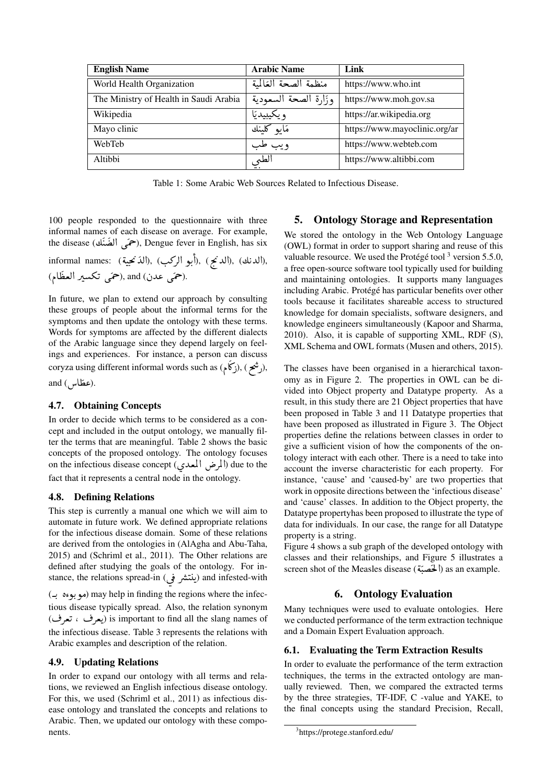| <b>English Name</b>                    | <b>Arabic Name</b>   | Link                          |
|----------------------------------------|----------------------|-------------------------------|
| World Health Organization              | منظمة الصحة العَالمة | https://www.who.int           |
| The Ministry of Health in Saudi Arabia | وزارة الصحة السعودية | https://www.moh.gov.sa        |
| Wikipedia                              | و يكيبيديَا          | https://ar.wikipedia.org      |
| Mayo clinic                            | مَايو کلينك          | https://www.mayoclinic.org/ar |
| WebTeb                                 | و يب طب              | https://www.webteb.com        |
| Altibbi                                | الطي                 | https://www.altibbi.com       |

Table 1: Some Arabic Web Sources Related to Infectious Disease.

100 people responded to the questionnaire with three informal names of each disease on average. For example, the disease (حمَى الضَّنَك), Dengue fever in English, has six

informal names: (الدنج), (أبو الركب), (الذنجية), (ألدنك), (الدنج) (حَمَى عدن) and (حَمَى تكسير العظّام)

In future, we plan to extend our approach by consulting these groups of people about the informal terms for the symptoms and then update the ontology with these terms. Words for symptoms are affected by the different dialects of the Arabic language since they depend largely on feelings and experiences. For instance, a person can discuss coryza using different informal words such as (رشع), (برشع),

and (عطّاس).

### 4.7. Obtaining Concepts

In order to decide which terms to be considered as a concept and included in the output ontology, we manually filter the terms that are meaningful. Table 2 shows the basic concepts of the proposed ontology. The ontology focuses on the infectious disease concept (المرض المعدى) due to the fact that it represents a central node in the ontology.

#### **4.8. Defining Relations**

This step is currently a manual one which we will aim to automate in future work. We defined appropriate relations for the infectious disease domain. Some of these relations are derived from the ontologies in (AlAgha and Abu-Taha, 2015) and (Schriml et al., 2011). The Other relations are defined after studying the goals of the ontology. For instance, the relations spread-in (ينتشر في) and infested-with (موبوءه به) may help in finding the regions where the infectious disease typically spread. Also, the relation synonym (یعرف ، تعرف) is important to find all the slang names of the infectious disease. Table 3 represents the relations with Arabic examples and description of the relation.

#### 4.9. Updating Relations

In order to expand our ontology with all terms and relations, we reviewed an English infectious disease ontology. For this, we used (Schriml et al., 2011) as infectious disease ontology and translated the concepts and relations to Arabic. Then, we updated our ontology with these components.

#### 5. **Ontology Storage and Representation**

We stored the ontology in the Web Ontology Language (OWL) format in order to support sharing and reuse of this valuable resource. We used the Protégé tool<sup>3</sup> version 5.5.0, a free open-source software tool typically used for building and maintaining ontologies. It supports many languages including Arabic. Protégé has particular benefits over other tools because it facilitates shareable access to structured knowledge for domain specialists, software designers, and knowledge engineers simultaneously (Kapoor and Sharma, 2010). Also, it is capable of supporting XML, RDF (S), XML Schema and OWL formats (Musen and others, 2015).

The classes have been organised in a hierarchical taxonomy as in Figure 2. The properties in OWL can be divided into Object property and Datatype property. As a result, in this study there are 21 Object properties that have been proposed in Table 3 and 11 Datatype properties that have been proposed as illustrated in Figure 3. The Object properties define the relations between classes in order to give a sufficient vision of how the components of the ontology interact with each other. There is a need to take into account the inverse characteristic for each property. For instance, 'cause' and 'caused-by' are two properties that work in opposite directions between the 'infectious disease' and 'cause' classes. In addition to the Object property, the Datatype propertyhas been proposed to illustrate the type of data for individuals. In our case, the range for all Datatype property is a string.

Figure 4 shows a sub graph of the developed ontology with classes and their relationships, and Figure 5 illustrates a screen shot of the Measles disease (المُحَصِّنَة) as an example.

#### **6.** Ontology Evaluation

Many techniques were used to evaluate ontologies. Here we conducted performance of the term extraction technique and a Domain Expert Evaluation approach.

#### **Evaluating the Term Extraction Results** 6.1.

In order to evaluate the performance of the term extraction techniques, the terms in the extracted ontology are manually reviewed. Then, we compared the extracted terms by the three strategies, TF-IDF, C -value and YAKE, to the final concepts using the standard Precision, Recall,

<sup>&</sup>lt;sup>3</sup>https://protege.stanford.edu/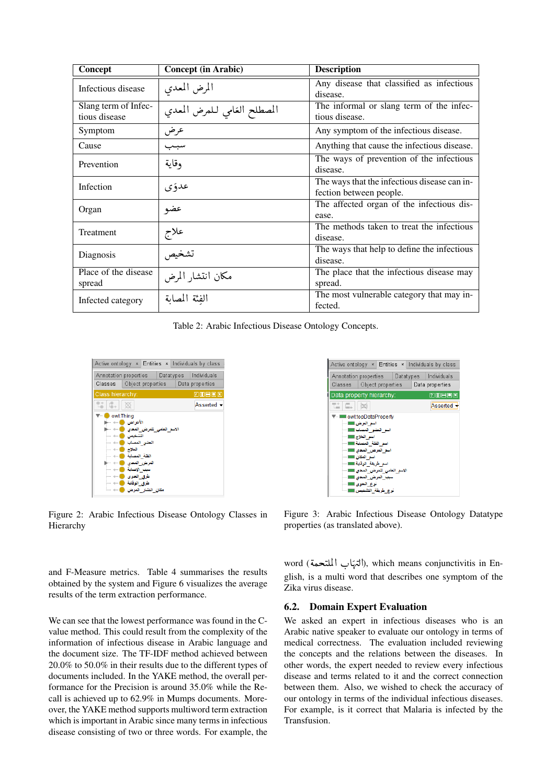| Concept                               | <b>Concept (in Arabic)</b>  | <b>Description</b>                                                      |
|---------------------------------------|-----------------------------|-------------------------------------------------------------------------|
| Infectious disease                    | المرض المعدى                | Any disease that classified as infectious<br>disease.                   |
| Slang term of Infec-<br>tious disease | المصطلح الغامي للمرض المعدي | The informal or slang term of the infec-<br>tious disease.              |
| Symptom                               | عرض                         | Any symptom of the infectious disease.                                  |
| Cause                                 | سبىب                        | Anything that cause the infectious disease.                             |
| Prevention                            | وقاية                       | The ways of prevention of the infectious<br>disease.                    |
| Infection                             | عدؤي                        | The ways that the infectious disease can in-<br>fection between people. |
| Organ                                 | عضو                         | The affected organ of the infectious dis-<br>ease.                      |
| Treatment                             | علاج                        | The methods taken to treat the infectious<br>disease.                   |
| Diagnosis                             | تشخيص                       | The ways that help to define the infectious<br>disease.                 |
| Place of the disease<br>spread        | مكان انتشار المرض           | The place that the infectious disease may<br>spread.                    |
| Infected category                     | الفئة المصابة               | The most vulnerable category that may in-<br>fected.                    |

Table 2: Arabic Infectious Disease Ontology Concepts.



Figure 2: Arabic Infectious Disease Ontology Classes in Hierarchy

and F-Measure metrics. Table 4 summarises the results obtained by the system and Figure 6 visualizes the average results of the term extraction performance.

We can see that the lowest performance was found in the Cvalue method. This could result from the complexity of the information of infectious disease in Arabic language and the document size. The TF-IDF method achieved between 20.0% to 50.0% in their results due to the different types of documents included. In the YAKE method, the overall performance for the Precision is around 35.0% while the Recall is achieved up to 62.9% in Mumps documents. Moreover, the YAKE method supports multiword term extraction which is important in Arabic since many terms in infectious disease consisting of two or three words. For example, the



Figure 3: Arabic Infectious Disease Ontology Datatype properties (as translated above).

word (التهاب الملتحمة), which means conjunctivitis in English, is a multi word that describes one symptom of the Zika virus disease.

### **6.2.** Domain Expert Evaluation

We asked an expert in infectious diseases who is an Arabic native speaker to evaluate our ontology in terms of medical correctness. The evaluation included reviewing the concepts and the relations between the diseases. In other words, the expert needed to review every infectious disease and terms related to it and the correct connection between them. Also, we wished to check the accuracy of our ontology in terms of the individual infectious diseases. For example, is it correct that Malaria is infected by the Transfusion.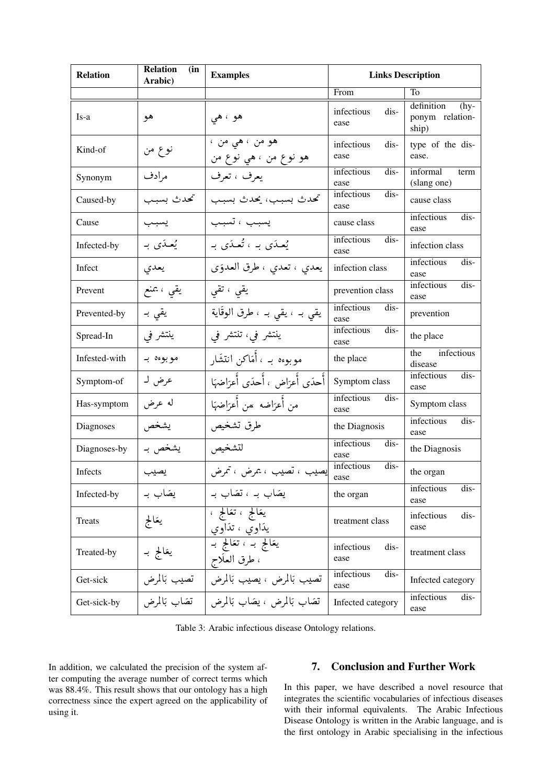| <b>Relation</b> | <b>Relation</b><br>(in<br>Arabic) | <b>Examples</b>                                  | <b>Links Description</b>     |                                                  |  |  |
|-----------------|-----------------------------------|--------------------------------------------------|------------------------------|--------------------------------------------------|--|--|
|                 |                                   |                                                  | From                         | To                                               |  |  |
| Is-a            | هو                                | هو ، هي                                          | infectious<br>dis-<br>ease   | definition<br>$(hy-$<br>ponym relation-<br>ship) |  |  |
| Kind-of         | نو ع من                           | هو من ، هي من ،<br>هو نوع من ، هي نوع من         | infectious<br>dis-<br>ease   | type of the dis-<br>ease.                        |  |  |
| Synonym         | مرادف                             | يعرف ، تعرف                                      | infectious<br>dis-<br>ease   | informal<br>term<br>(slang one)                  |  |  |
| Caused-by       | تحدث بسبب                         | تحدث بسبب، يحدث بسبب                             | infectious<br>dis-<br>ease   | cause class                                      |  |  |
| Cause           |                                   | يسبب ، تسبب                                      | cause class                  | infectious<br>dis-<br>ease                       |  |  |
| Infected-by     | يُعدَى به                         | يُعلاَى بِن يُعلاَى بِ                           | infectious<br>dis-<br>ease   | infection class                                  |  |  |
| Infect          | يعدي                              | يعدي ، تعدي ، طرق العدوَى                        | infection class              | infectious<br>dis-<br>ease                       |  |  |
| Prevent         | یقی ، یمنع                        | یقی ، تقی                                        | prevention class             | infectious<br>$dis-$<br>ease                     |  |  |
| Prevented-by    | یقی بہ                            | يقي بـ ، يقي بـ ، طرق الوقَاية                   | infectious<br>$dis-$<br>ease | prevention                                       |  |  |
| Spread-In       | ينتشر في                          | ينتشر في، تنتشر في                               | infectious<br>dis-<br>ease   | the place                                        |  |  |
| Infested-with   | مو بوءہ بہ                        | موبوءہ بہ ، أَمَاكن انتشَار                      | the place                    | infectious<br>the<br>disease                     |  |  |
| Symptom-of      | عرض له                            | أحدَى أعرَاض ، أحدَى أعرَاضهَا                   | Symptom class                | infectious<br>dis-<br>ease                       |  |  |
| Has-symptom     | له عرض                            | من أعزاضه  ممن أعزاضهَا                          | infectious<br>dis-<br>ease   | Symptom class                                    |  |  |
| Diagnoses       | يشخص                              | طرق تشخيص                                        | the Diagnosis                | infectious<br>$dis-$<br>ease                     |  |  |
| Diagnoses-by    | يشخص به                           | لتشخيص                                           | infectious<br>dis-<br>ease   | the Diagnosis                                    |  |  |
| Infects         | يصيب                              | إيصيب ، تصيب ، يمرض ، تمرض                       | infectious<br>dis-<br>ease   | the organ                                        |  |  |
| Infected-by     | یضاب بـ                           | یضاب بہ ، تضاب بہ                                | the organ                    | infectious<br>dis-<br>ease                       |  |  |
| Treats          | يعَالِج                           | يعَالج ، تعَالج ،<br>يدَاوي ، تدَاوي             | treatment class              | infectious<br>dis-<br>ease                       |  |  |
| Treated-by      | يعَالج بـ                         | <del>يعَالج بـ ، تعَالج بـ</del><br>، طرق العلاج | infectious<br>dis-<br>ease   | treatment class                                  |  |  |
| Get-sick        | تصيب بَالمرض                      | تصيب بَالمرض ، يصيب بَالمرض                      | infectious<br>dis-<br>ease   | Infected category                                |  |  |
| Get-sick-by     | تضاب بَالمرض                      | تَصَاب بَالمرض ، يَصَاب بَالمرض                  | Infected category            | infectious<br>dis-<br>ease                       |  |  |

Table 3: Arabic infectious disease Ontology relations.

In addition, we calculated the precision of the system after computing the average number of correct terms which was 88.4%. This result shows that our ontology has a high correctness since the expert agreed on the applicability of using it.

# 7. Conclusion and Further Work

In this paper, we have described a novel resource that integrates the scientific vocabularies of infectious diseases with their informal equivalents. The Arabic Infectious Disease Ontology is written in the Arabic language, and is the first ontology in Arabic specialising in the infectious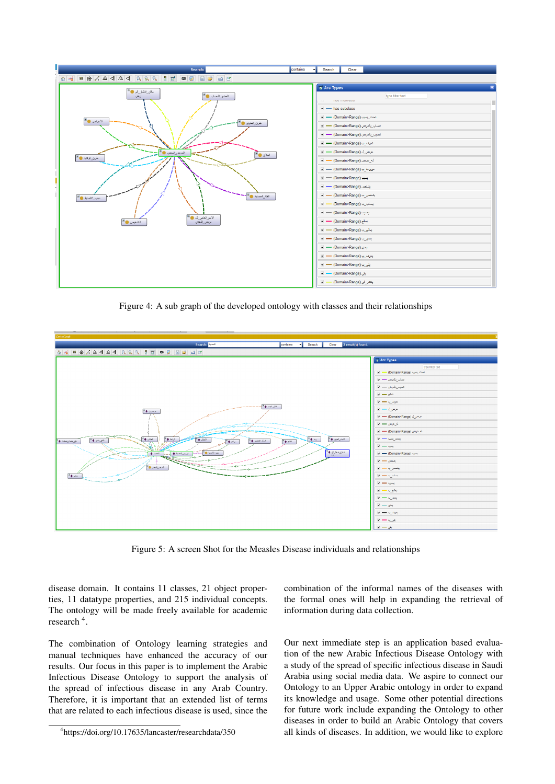

Figure 4: A sub graph of the developed ontology with classes and their relationships



Figure 5: A screen Shot for the Measles Disease individuals and relationships

disease domain. It contains 11 classes, 21 object properties, 11 datatype properties, and 215 individual concepts. The ontology will be made freely available for academic research<sup>4</sup>.

The combination of Ontology learning strategies and manual techniques have enhanced the accuracy of our results. Our focus in this paper is to implement the Arabic Infectious Disease Ontology to support the analysis of the spread of infectious disease in any Arab Country. Therefore, it is important that an extended list of terms that are related to each infectious disease is used, since the combination of the informal names of the diseases with the formal ones will help in expanding the retrieval of information during data collection.

Our next immediate step is an application based evaluation of the new Arabic Infectious Disease Ontology with a study of the spread of specific infectious disease in Saudi Arabia using social media data. We aspire to connect our Ontology to an Upper Arabic ontology in order to expand its knowledge and usage. Some other potential directions for future work include expanding the Ontology to other diseases in order to build an Arabic Ontology that covers all kinds of diseases. In addition, we would like to explore

<sup>4</sup> https://doi.org/10.17635/lancaster/researchdata/350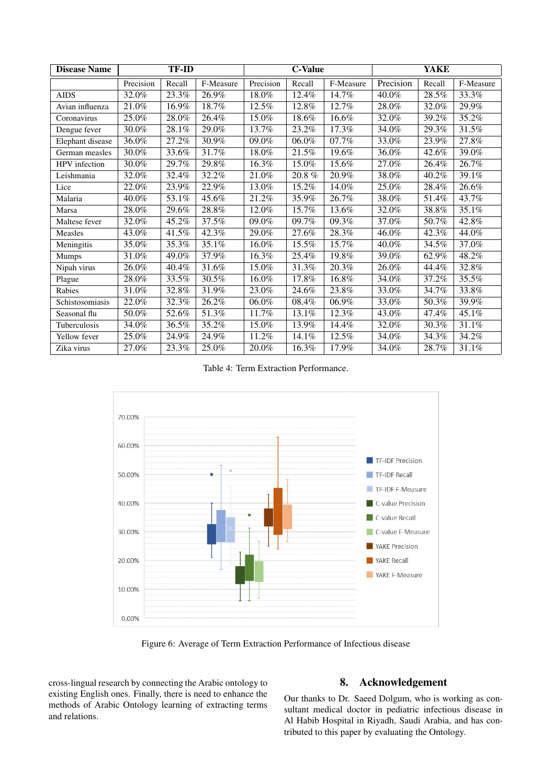| <b>Disease Name</b> | <b>TF-ID</b> |        | <b>C-Value</b> |           | <b>YAKE</b> |           |           |        |           |
|---------------------|--------------|--------|----------------|-----------|-------------|-----------|-----------|--------|-----------|
|                     | Precision    | Recall | F-Measure      | Precision | Recall      | F-Measure | Precision | Recall | F-Measure |
| <b>AIDS</b>         | 32.0%        | 23.3%  | 26.9%          | 18.0%     | 12.4%       | 14.7%     | 40.0%     | 28.5%  | 33.3%     |
| Avian influenza     | 21.0%        | 16.9%  | 18.7%          | 12.5%     | 12.8%       | 12.7%     | 28.0%     | 32.0%  | 29.9%     |
| Coronavirus         | 25.0%        | 28.0%  | 26.4%          | 15.0%     | 18.6%       | 16.6%     | 32.0%     | 39.2%  | 35.2%     |
| Dengue fever        | 30.0%        | 28.1%  | 29.0%          | 13.7%     | 23.2%       | 17.3%     | 34.0%     | 29.3%  | 31.5%     |
| Elephant disease    | 36.0%        | 27.2%  | 30.9%          | 09.0%     | 06.0%       | 07.7%     | 33.0%     | 23.9%  | 27.8%     |
| German measles      | 30.0%        | 33.6%  | 31.7%          | 18.0%     | 21.5%       | 19.6%     | 36.0%     | 42.6%  | 39.0%     |
| HPV infection       | 30.0%        | 29.7%  | 29.8%          | 16.3%     | 15.0%       | 15.6%     | 27.0%     | 26.4%  | 26.7%     |
| Leishmania          | 32.0%        | 32.4%  | 32.2%          | 21.0%     | 20.8%       | 20.9%     | 38.0%     | 40.2%  | 39.1%     |
| Lice                | 22.0%        | 23.9%  | 22.9%          | 13.0%     | 15.2%       | 14.0%     | 25.0%     | 28.4%  | 26.6%     |
| Malaria             | 40.0%        | 53.1%  | 45.6%          | 21.2%     | 35.9%       | 26.7%     | 38.0%     | 51.4%  | 43.7%     |
| Marsa               | 28.0%        | 29.6%  | 28.8%          | 12.0%     | 15.7%       | 13.6%     | 32.0%     | 38.8%  | 35.1%     |
| Maltese fever       | 32.0%        | 45.2%  | 37.5%          | 09.0%     | 09.7%       | 09.3%     | 37.0%     | 50.7%  | 42.8%     |
| Measles             | 43.0%        | 41.5%  | 42.3%          | 29.0%     | 27.6%       | 28.3%     | 46.0%     | 42.3%  | 44.0%     |
| Meningitis          | 35.0%        | 35.3%  | 35.1%          | 16.0%     | 15.5%       | 15.7%     | 40.0%     | 34.5%  | 37.0%     |
| Mumps               | 31.0%        | 49.0%  | 37.9%          | 16.3%     | 25.4%       | 19.8%     | 39.0%     | 62.9%  | 48.2%     |
| Nipah virus         | 26.0%        | 40.4%  | 31.6%          | 15.0%     | 31.3%       | 20.3%     | 26.0%     | 44.4%  | 32.8%     |
| Plague              | 28.0%        | 33.5%  | 30.5%          | 16.0%     | 17.8%       | 16.8%     | 34.0%     | 37.2%  | 35.5%     |
| Rabies              | 31.0%        | 32.8%  | 31.9%          | 23.0%     | 24.6%       | 23.8%     | 33.0%     | 34.7%  | 33.8%     |
| Schistosomiasis     | 22.0%        | 32.3%  | 26.2%          | 06.0%     | 08.4%       | 06.9%     | 33.0%     | 50.3%  | 39.9%     |
| Seasonal flu        | 50.0%        | 52.6%  | 51.3%          | 11.7%     | 13.1%       | 12.3%     | 43.0%     | 47.4%  | 45.1%     |
| Tuberculosis        | 34.0%        | 36.5%  | 35.2%          | 15.0%     | 13.9%       | 14.4%     | 32.0%     | 30.3%  | 31.1%     |
| Yellow fever        | 25.0%        | 24.9%  | 24.9%          | 11.2%     | 14.1%       | 12.5%     | 34.0%     | 34.3%  | 34.2%     |
| Zika virus          | 27.0%        | 23.3%  | 25.0%          | 20.0%     | 16.3%       | 17.9%     | 34.0%     | 28.7%  | 31.1%     |

Table 4: Term Extraction Performance.



Figure 6: Average of Term Extraction Performance of Infectious disease

cross-lingual research by connecting the Arabic ontology to existing English ones. Finally, there is need to enhance the methods of Arabic Ontology learning of extracting terms and relations.

# 8. Acknowledgement

Our thanks to Dr. Saeed Dolgum, who is working as consultant medical doctor in pediatric infectious disease in Al Habib Hospital in Riyadh, Saudi Arabia, and has contributed to this paper by evaluating the Ontology.